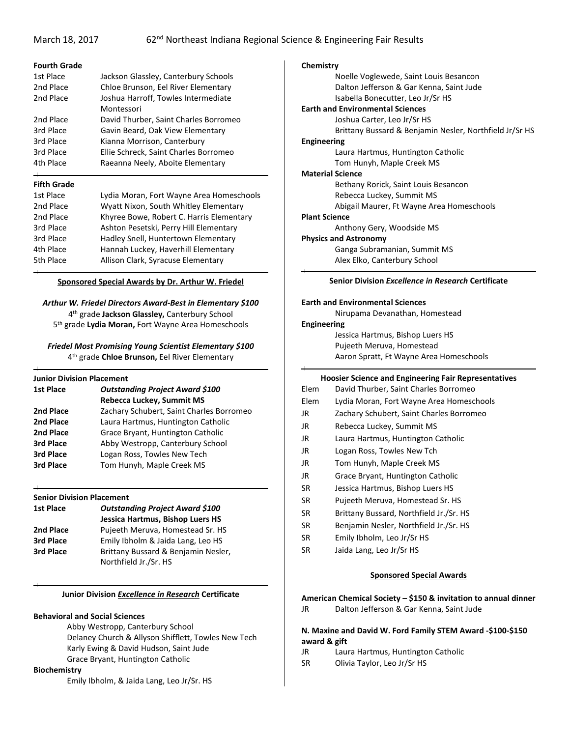# **Fourth Grade**

| 1st Place | Jackson Glassley, Canterbury Schools  |
|-----------|---------------------------------------|
| 2nd Place | Chloe Brunson, Eel River Elementary   |
| 2nd Place | Joshua Harroff, Towles Intermediate   |
|           | Montessori                            |
| 2nd Place | David Thurber, Saint Charles Borromeo |
| 3rd Place | Gavin Beard, Oak View Elementary      |
| 3rd Place | Kianna Morrison, Canterbury           |
| 3rd Place | Ellie Schreck, Saint Charles Borromeo |
| 4th Place | Raeanna Neely, Aboite Elementary      |

# **Fifth Grade**

| 1st Place | Lydia Moran, Fort Wayne Area Homeschools |
|-----------|------------------------------------------|
| 2nd Place | Wyatt Nixon, South Whitley Elementary    |
| 2nd Place | Khyree Bowe, Robert C. Harris Elementary |
| 3rd Place | Ashton Pesetski, Perry Hill Elementary   |
| 3rd Place | Hadley Snell, Huntertown Elementary      |
| 4th Place | Hannah Luckey, Haverhill Elementary      |
| 5th Place | Allison Clark, Syracuse Elementary       |
|           |                                          |

# **Sponsored Special Awards by Dr. Arthur W. Friedel**

# *Arthur W. Friedel Directors Award-Best in Elementary \$100*

4th grade **Jackson Glassley,** Canterbury School 5th grade **Lydia Moran,** Fort Wayne Area Homeschools

#### *Friedel Most Promising Young Scientist Elementary \$100* 4th grade **Chloe Brunson,** Eel River Elementary

| <b>Junior Division Placement</b>         |  |
|------------------------------------------|--|
| <b>Outstanding Project Award \$100</b>   |  |
| <b>Rebecca Luckey, Summit MS</b>         |  |
| Zachary Schubert, Saint Charles Borromeo |  |
| Laura Hartmus, Huntington Catholic       |  |
| Grace Bryant, Huntington Catholic        |  |
| Abby Westropp, Canterbury School         |  |
| Logan Ross, Towles New Tech              |  |
| Tom Hunyh, Maple Creek MS                |  |
|                                          |  |

## **Senior Division Placement**

| 1st Place | <b>Outstanding Project Award \$100</b> |
|-----------|----------------------------------------|
|           | Jessica Hartmus, Bishop Luers HS       |
| 2nd Place | Pujeeth Meruva, Homestead Sr. HS       |
| 3rd Place | Emily Ibholm & Jaida Lang, Leo HS      |
| 3rd Place | Brittany Bussard & Benjamin Nesler,    |
|           | Northfield Jr./Sr. HS                  |

## **Junior Division** *Excellence in Research* **Certificate**

## **Behavioral and Social Sciences**

Abby Westropp, Canterbury School Delaney Church & Allyson Shifflett, Towles New Tech Karly Ewing & David Hudson, Saint Jude Grace Bryant, Huntington Catholic

# **Biochemistry**

Emily Ibholm, & Jaida Lang, Leo Jr/Sr. HS

# **Chemistry**

Noelle Voglewede, Saint Louis Besancon Dalton Jefferson & Gar Kenna, Saint Jude Isabella Bonecutter, Leo Jr/Sr HS

# **Earth and Environmental Sciences**

Joshua Carter, Leo Jr/Sr HS Brittany Bussard & Benjamin Nesler, Northfield Jr/Sr HS

#### **Engineering**

Laura Hartmus, Huntington Catholic Tom Hunyh, Maple Creek MS

#### **Material Science**

Bethany Rorick, Saint Louis Besancon

Rebecca Luckey, Summit MS

Abigail Maurer, Ft Wayne Area Homeschools

# **Plant Science**

Anthony Gery, Woodside MS

#### **Physics and Astronomy**

Ganga Subramanian, Summit MS Alex Elko, Canterbury School

# **Senior Division** *Excellence in Research* **Certificate**

# **Earth and Environmental Sciences**

Nirupama Devanathan, Homestead

#### **Engineering**

Jessica Hartmus, Bishop Luers HS Pujeeth Meruva, Homestead Aaron Spratt, Ft Wayne Area Homeschools

## **Hoosier Science and Engineering Fair Representatives**

| Lydia Moran, Fort Wayne Area Homeschools |
|------------------------------------------|
|                                          |
|                                          |
|                                          |
|                                          |
|                                          |
|                                          |
|                                          |
|                                          |
|                                          |
|                                          |
|                                          |
|                                          |

- SR Jaida Lang, Leo Jr/Sr HS
	-

# **Sponsored Special Awards**

**American Chemical Society – \$150 & invitation to annual dinner**  JR Dalton Jefferson & Gar Kenna, Saint Jude

# **N. Maxine and David W. Ford Family STEM Award -\$100-\$150 award & gift**

- JR Laura Hartmus, Huntington Catholic
- SR Olivia Taylor, Leo Jr/Sr HS